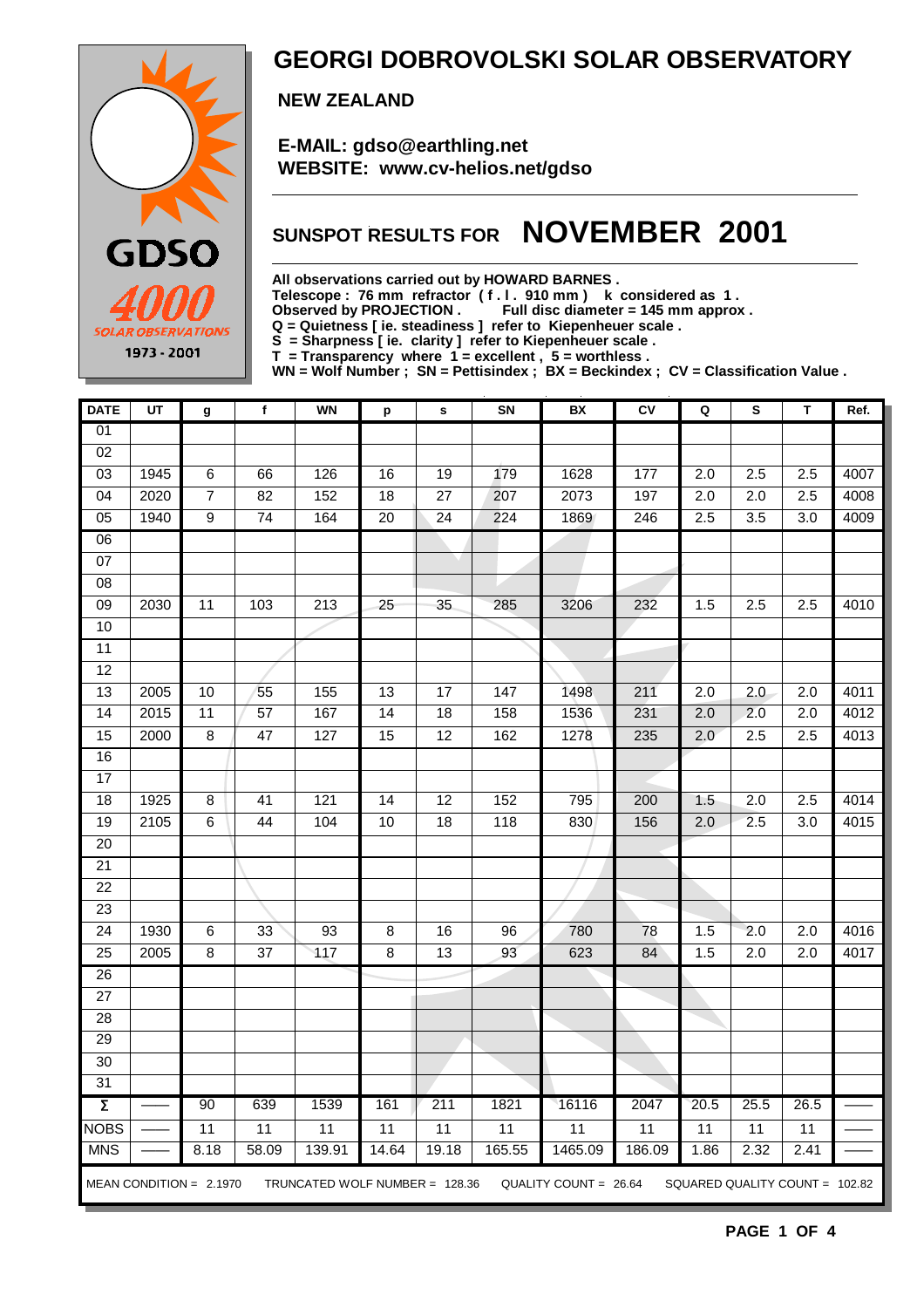

### **GEORGI DOBROVOLSKI SOLAR OBSERVATORY**

 **NEW ZEALAND**

 **E-MAIL: gdso@earthling.net WEBSITE: www.cv-helios.net/gdso**

## **SUNSPOT RESULTS FOR NOVEMBER 2001**

**All observations carried out by HOWARD BARNES .**

**Telescope : 76 mm refractor ( f . l . 910 mm ) k considered as 1 .**

Observed by PROJECTION . Full disc diameter = 145 mm approx .

**Q = Quietness [ ie. steadiness ] refer to Kiepenheuer scale .**

**S = Sharpness [ ie. clarity ] refer to Kiepenheuer scale .**

**T = Transparency where 1 = excellent , 5 = worthless .**

**WN = Wolf Number ; SN = Pettisindex ; BX = Beckindex ; CV = Classification Value .**

| <b>DATE</b>         | UT   | g                         | $\mathbf f$     | <b>WN</b>                      | p               | s               | SN              | BX                    | <b>CV</b>       | Q                              | S                | T                | Ref. |
|---------------------|------|---------------------------|-----------------|--------------------------------|-----------------|-----------------|-----------------|-----------------------|-----------------|--------------------------------|------------------|------------------|------|
| $\overline{01}$     |      |                           |                 |                                |                 |                 |                 |                       |                 |                                |                  |                  |      |
| $\overline{02}$     |      |                           |                 |                                |                 |                 |                 |                       |                 |                                |                  |                  |      |
| 03                  | 1945 | 6                         | 66              | 126                            | 16              | 19              | 179             | 1628                  | 177             | 2.0                            | 2.5              | 2.5              | 4007 |
| $\overline{04}$     | 2020 | $\overline{7}$            | $\overline{82}$ | 152                            | $\overline{18}$ | $\overline{27}$ | 207             | 2073                  | 197             | $\overline{2.0}$               | 2.0              | 2.5              | 4008 |
| $\overline{05}$     | 1940 | $\overline{9}$            | $\overline{74}$ | 164                            | 20              | 24              | 224             | 1869                  | 246             | 2.5                            | $\overline{3.5}$ | 3.0              | 4009 |
| 06                  |      |                           |                 |                                |                 |                 |                 |                       |                 |                                |                  |                  |      |
| 07                  |      |                           |                 |                                |                 |                 |                 |                       |                 |                                |                  |                  |      |
| 08                  |      |                           |                 |                                |                 |                 |                 |                       |                 |                                |                  |                  |      |
| $\overline{09}$     | 2030 | $\overline{11}$           | $\frac{10}{3}$  | $\overline{213}$               | $\overline{25}$ | 35              | 285             | 3206                  | 232             | 1.5                            | 2.5              | 2.5              | 4010 |
| 10                  |      |                           |                 |                                |                 |                 |                 |                       |                 |                                |                  |                  |      |
| $\overline{11}$     |      |                           |                 |                                |                 |                 |                 |                       |                 |                                |                  |                  |      |
| $\overline{12}$     |      |                           |                 |                                |                 |                 |                 |                       |                 |                                |                  |                  |      |
| 13                  | 2005 | 10                        | 55              | 155                            | 13              | 17              | 147             | 1498                  | 211             | 2.0                            | 2.0              | 2.0              | 4011 |
| $\overline{14}$     | 2015 | $\overline{11}$           | 57              | 167                            | $\overline{14}$ | 18              | 158             | 1536                  | 231             | 2.0                            | 2.0              | $\overline{2.0}$ | 4012 |
| 15                  | 2000 | $\overline{8}$            | 47              | 127                            | $\overline{15}$ | 12              | 162             | 1278                  | 235             | 2.0                            | 2.5              | 2.5              | 4013 |
| 16                  |      |                           |                 |                                |                 |                 |                 |                       |                 |                                |                  |                  |      |
| $\overline{17}$     |      |                           |                 |                                |                 |                 |                 |                       |                 |                                |                  |                  |      |
| 18                  | 1925 | $\bf 8$                   | 41              | 121                            | $\overline{14}$ | $\overline{12}$ | 152             | 795                   | 200             | 1.5                            | $\overline{2.0}$ | 2.5              | 4014 |
| 19                  | 2105 | 6                         | 44              | 104                            | 10              | 18              | 118             | 830                   | 156             | $\overline{2.0}$               | 2.5              | 3.0              | 4015 |
| 20                  |      |                           |                 |                                |                 |                 |                 |                       |                 |                                |                  |                  |      |
| $\overline{21}$     |      |                           |                 |                                |                 |                 |                 |                       |                 |                                |                  |                  |      |
| $\overline{22}$     |      |                           |                 |                                |                 |                 |                 |                       |                 |                                |                  |                  |      |
| $\overline{23}$     |      |                           |                 |                                |                 |                 |                 |                       |                 |                                |                  |                  |      |
| $\overline{24}$     | 1930 | 6                         | 33              | 93                             | 8               | 16              | 96              | 780                   | 78              | 1.5                            | 2.0              | 2.0              | 4016 |
| 25                  | 2005 | $\overline{8}$            | $\overline{37}$ | $\overline{417}$               | $\overline{8}$  | 13              | 93              | 623                   | 84              | $1.\overline{5}$               | $\overline{2.0}$ | 2.0              | 4017 |
| $\overline{26}$     |      |                           |                 |                                |                 |                 |                 |                       |                 |                                |                  |                  |      |
| $\overline{27}$     |      |                           |                 |                                |                 |                 |                 |                       |                 |                                |                  |                  |      |
| 28                  |      |                           |                 |                                |                 |                 |                 |                       |                 |                                |                  |                  |      |
| $\overline{29}$     |      |                           |                 |                                |                 |                 |                 |                       |                 |                                |                  |                  |      |
| 30                  |      |                           |                 |                                |                 |                 |                 |                       |                 |                                |                  |                  |      |
| $\overline{31}$     |      |                           |                 |                                |                 |                 |                 |                       |                 |                                |                  |                  |      |
| $\overline{\Sigma}$ |      | 90                        | 639             | 1539                           | 161             | 211             | 1821            | 16116                 | 2047            | 20.5                           | 25.5             | 26.5             |      |
| <b>NOBS</b>         |      | $\overline{11}$           | 11              | $\overline{11}$                | $\overline{11}$ | 11              | $\overline{11}$ | $\overline{11}$       | $\overline{11}$ | $\overline{11}$                | $\overline{11}$  | $\overline{11}$  |      |
| <b>MNS</b>          |      | 8.18                      | 58.09           | 139.91                         | 14.64           | 19.18           | 165.55          | 1465.09               | 186.09          | 1.86                           | 2.32             | 2.41             |      |
|                     |      | MEAN CONDITION = $2.1970$ |                 | TRUNCATED WOLF NUMBER = 128.36 |                 |                 |                 | QUALITY COUNT = 26.64 |                 | SQUARED QUALITY COUNT = 102.82 |                  |                  |      |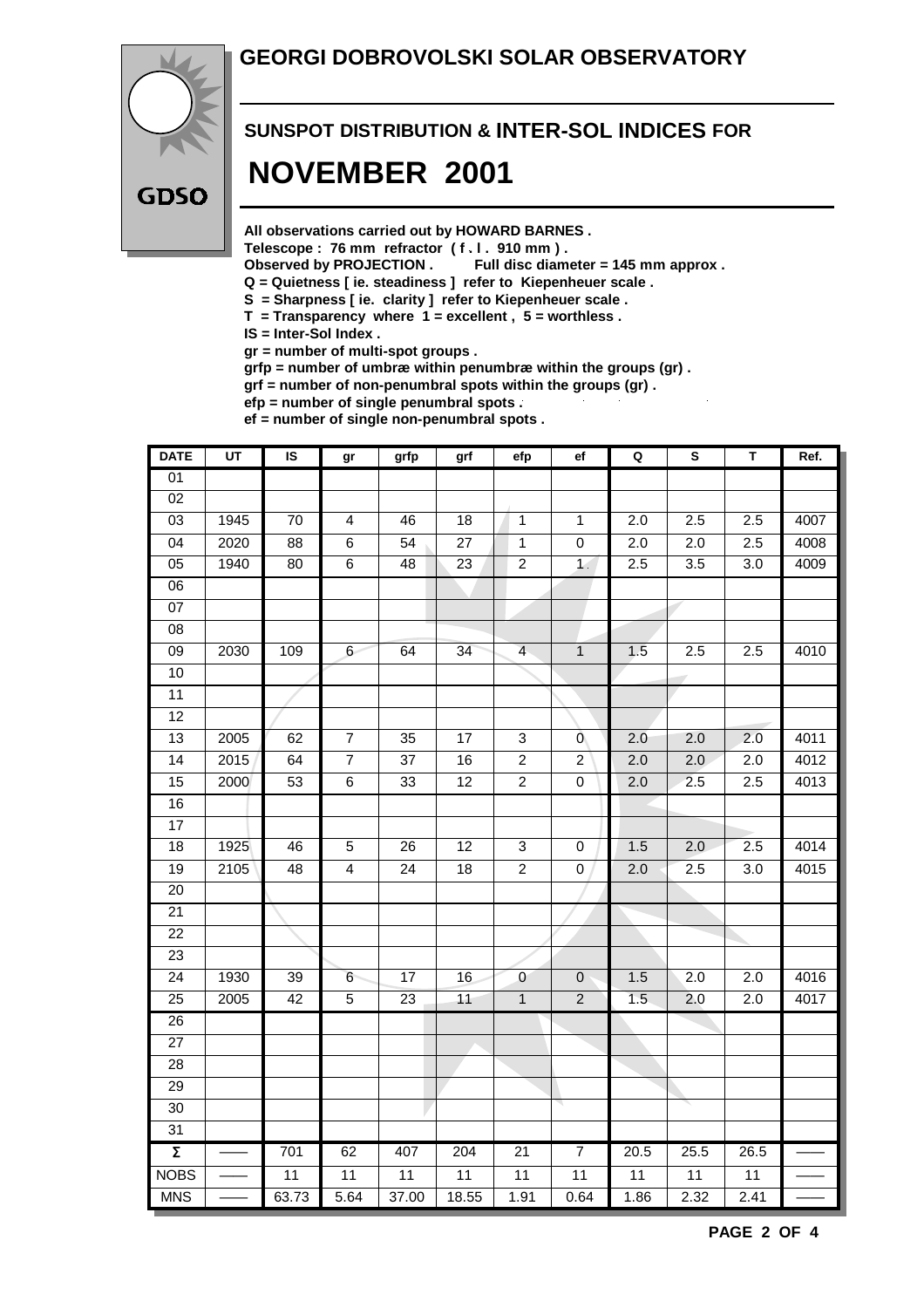#### **GEORGI DOBROVOLSKI SOLAR OBSERVATORY**



# **SUNSPOT DISTRIBUTION & INTER-SOL INDICES FOR NOVEMBER 2001**

**All observations carried out by HOWARD BARNES .**

Telescope : 76 mm refractor (f. l. 910 mm).<br>Observed by PROJECTION . Full disc diam

Full disc diameter = 145 mm approx .

- **Q = Quietness [ ie. steadiness ] refer to Kiepenheuer scale .**
- **S = Sharpness [ ie. clarity ] refer to Kiepenheuer scale .**
- **T = Transparency where 1 = excellent , 5 = worthless .**
- **IS = Inter-Sol Index .**

**gr = number of multi-spot groups .**

**grfp = number of umbræ within penumbræ within the groups (gr) .**

**grf = number of non-penumbral spots within the groups (gr) .**

**efp = number of single penumbral spots .**

**ef = number of single non-penumbral spots .**

| <b>DATE</b>         | $\overline{UT}$ | IS               | gr              | grfp            | grf             | efp                       | ef               | $\mathbf Q$      | ${\bf S}$        | T                | Ref. |
|---------------------|-----------------|------------------|-----------------|-----------------|-----------------|---------------------------|------------------|------------------|------------------|------------------|------|
| 01                  |                 |                  |                 |                 |                 |                           |                  |                  |                  |                  |      |
| $\overline{02}$     |                 |                  |                 |                 |                 |                           |                  |                  |                  |                  |      |
| $\overline{03}$     | 1945            | 70               | $\overline{4}$  | 46              | 18              | 1                         | 1                | $\overline{2.0}$ | 2.5              | 2.5              | 4007 |
| 04                  | 2020            | $\overline{88}$  | $\overline{6}$  | 54              | $\overline{27}$ | $\overline{1}$            | $\overline{0}$   | 2.0              | 2.0              | 2.5              | 4008 |
| 05                  | 1940            | 80               | $\overline{6}$  | 48              | $\overline{23}$ | $\overline{2}$            | $\overline{1}$   | 2.5              | $\overline{3.5}$ | $\overline{3.0}$ | 4009 |
| 06                  |                 |                  |                 |                 |                 |                           |                  |                  |                  |                  |      |
| $\overline{07}$     |                 |                  |                 |                 |                 |                           |                  |                  |                  |                  |      |
| $\overline{08}$     |                 |                  |                 |                 |                 |                           |                  |                  |                  |                  |      |
| $\overline{09}$     | 2030            | $\overline{109}$ | $6 -$           | 64              | $\overline{34}$ | $\overline{4}$            | $\overline{1}$   | 1.5              | 2.5              | 2.5              | 4010 |
| 10                  |                 |                  |                 |                 |                 |                           |                  |                  |                  |                  |      |
| $\overline{11}$     |                 |                  |                 |                 |                 |                           |                  |                  |                  |                  |      |
| $\overline{12}$     |                 |                  |                 |                 |                 |                           |                  |                  |                  |                  |      |
| $\overline{13}$     | 2005            | 62               | $\overline{7}$  | 35              | $\overline{17}$ | $\mathbf{3}$              | Ō                | 2.0              | 2.0              | 2.0              | 4011 |
| $\overline{14}$     | 2015            | 64               | $\overline{7}$  | $\overline{37}$ | 16              | $\overline{2}$            | $\overline{c}$   | $\overline{2.0}$ | 2.0              | $\overline{2.0}$ | 4012 |
| 15                  | 2000            | 53               | $\overline{6}$  | 33              | $\overline{12}$ | $\overline{2}$            | $\mathbf 0$      | $\overline{2.0}$ | 2.5              | 2.5              | 4013 |
| 16                  |                 |                  |                 |                 |                 |                           |                  |                  |                  |                  |      |
| 17                  |                 |                  |                 |                 |                 |                           |                  |                  |                  |                  |      |
| $\overline{18}$     | 1925            | 46               | $\overline{5}$  | 26              | $\overline{12}$ | $\ensuremath{\mathsf{3}}$ | 0                | 1.5              | $\overline{2.0}$ | 2.5              | 4014 |
| 19                  | 2105            | 48               | $\overline{4}$  | $\overline{24}$ | 18              | $\overline{2}$            | $\mathbf 0$      | 2.0              | 2.5              | 3.0              | 4015 |
| 20                  |                 |                  |                 |                 |                 |                           |                  |                  |                  |                  |      |
| $\overline{21}$     |                 |                  |                 |                 |                 |                           |                  |                  |                  |                  |      |
| 22                  |                 |                  |                 |                 |                 |                           |                  |                  |                  |                  |      |
| 23                  |                 |                  |                 |                 |                 |                           |                  |                  |                  |                  |      |
| $\overline{24}$     | 1930            | 39               | $6\phantom{.}6$ | $\overline{17}$ | 16              | $\overline{0}$            | $\boldsymbol{0}$ | 1.5              | $\overline{2.0}$ | $\overline{2.0}$ | 4016 |
| 25                  | 2005            | 42               | $\sqrt{5}$      | 23              | 11              | $\mathbf{1}$              | $\overline{2}$   | 1.5              | 2.0              | 2.0              | 4017 |
| $\overline{26}$     |                 |                  |                 |                 |                 |                           |                  |                  |                  |                  |      |
| $\overline{27}$     |                 |                  |                 |                 |                 |                           |                  |                  |                  |                  |      |
| 28                  |                 |                  |                 |                 |                 |                           |                  |                  |                  |                  |      |
| 29                  |                 |                  |                 |                 |                 |                           |                  |                  |                  |                  |      |
| $\overline{30}$     |                 |                  |                 |                 |                 |                           |                  |                  |                  |                  |      |
| $\overline{31}$     |                 |                  |                 |                 |                 |                           |                  |                  |                  |                  |      |
| $\overline{\Sigma}$ |                 | 701              | 62              | 407             | 204             | 21                        | $\overline{7}$   | 20.5             | 25.5             | 26.5             |      |
| <b>NOBS</b>         |                 | $\overline{11}$  | $\overline{11}$ | $\overline{11}$ | $\overline{11}$ | $\overline{11}$           | $\overline{11}$  | $\overline{11}$  | $\overline{11}$  | $\overline{11}$  |      |
| <b>MNS</b>          |                 | 63.73            | 5.64            | 37.00           | 18.55           | 1.91                      | 0.64             | 1.86             | 2.32             | 2.41             |      |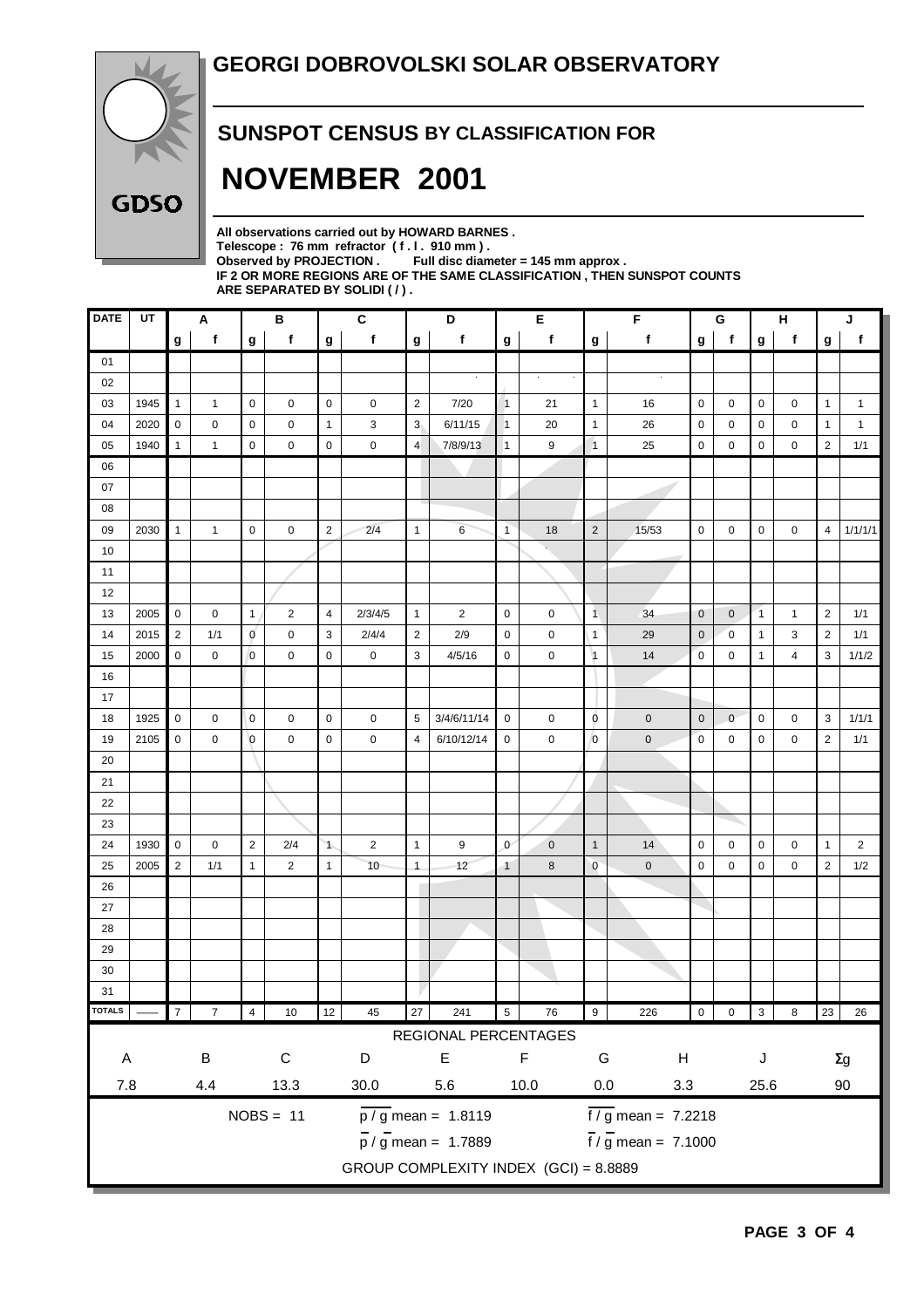

#### **SUNSPOT CENSUS BY CLASSIFICATION FOR**

# **NOVEMBER 2001**

**All observations carried out by HOWARD BARNES .** Telescope : 76 mm refractor (f. l. 910 mm).<br>Observed by PROJECTION . Full disc diam Full disc diameter = 145 mm approx . **IF 2 OR MORE REGIONS ARE OF THE SAME CLASSIFICATION , THEN SUNSPOT COUNTS ARE SEPARATED BY SOLIDI ( / ) .**

| <b>DATE</b>   | UT                                    |                | A              |                | $\, {\bf B}$   |                | $\mathbf{C}$        |                | D                               |                | Е           |                            | F                           |                | $\mathbf G$    |                           | н<br>J         |                |                |
|---------------|---------------------------------------|----------------|----------------|----------------|----------------|----------------|---------------------|----------------|---------------------------------|----------------|-------------|----------------------------|-----------------------------|----------------|----------------|---------------------------|----------------|----------------|----------------|
|               |                                       | g              | $\mathbf f$    | $\mathbf{g}$   | f              | $\mathbf g$    | f                   | $\mathbf{g}$   | f                               | g              | f           | g                          | f                           | g              | f              | $\boldsymbol{\mathsf{g}}$ | f              | g              | f              |
| 01            |                                       |                |                |                |                |                |                     |                |                                 |                |             |                            |                             |                |                |                           |                |                |                |
| 02            |                                       |                |                |                |                |                |                     |                |                                 |                | $\bullet$   |                            |                             |                |                |                           |                |                |                |
| 03            | 1945                                  | $\mathbf{1}$   | 1              | $\mathbf 0$    | 0              | $\mathbf 0$    | 0                   | $\overline{2}$ | 7/20                            | $\overline{1}$ | 21          | $\overline{1}$             | 16                          | 0              | 0              | 0                         | 0              | $\mathbf{1}$   | $\mathbf{1}$   |
| 04            | 2020                                  | $\mathbf 0$    | 0              | $\mathbf 0$    | 0              | $\mathbf{1}$   | 3                   | 3 <sub>l</sub> | 6/11/15                         | $\mathbf{1}$   | 20          | $\mathbf{1}$               | 26                          | $\mathbf 0$    | 0              | 0                         | 0              | $\mathbf{1}$   | $\mathbf{1}$   |
| 05            | 1940                                  | $\mathbf{1}$   | 1              | $\mathbf 0$    | 0              | $\mathbf 0$    | 0                   | $\overline{4}$ | 7/8/9/13                        | $\mathbf{1}$   | 9           | $\overline{1}$             | 25                          | $\mathbf 0$    | 0              | 0                         | 0              | $\overline{2}$ | 1/1            |
| 06            |                                       |                |                |                |                |                |                     |                |                                 |                |             |                            |                             |                |                |                           |                |                |                |
| 07            |                                       |                |                |                |                |                |                     |                |                                 |                |             |                            |                             |                |                |                           |                |                |                |
| 08            |                                       |                |                |                |                |                |                     |                |                                 |                |             |                            |                             |                |                |                           |                |                |                |
| 09            | 2030                                  | $\mathbf{1}$   | $\mathbf{1}$   | $\mathbf 0$    | 0              | $\overline{2}$ | 2/4                 | $\mathbf{1}$   | 6                               | $\mathbf{1}$   | 18          | $\overline{2}$             | 15/53                       | 0              | 0              | 0                         | 0              | $\overline{4}$ | 1/1/1/1        |
| 10            |                                       |                |                |                |                |                |                     |                |                                 |                |             |                            |                             |                |                |                           |                |                |                |
| 11            |                                       |                |                |                |                |                |                     |                |                                 |                |             |                            |                             |                |                |                           |                |                |                |
| 12            |                                       |                |                |                |                |                |                     |                |                                 |                |             |                            |                             |                |                |                           |                |                |                |
| 13            | 2005                                  | $\mathbf 0$    | $\pmb{0}$      | $\mathbf{1}$   | $\overline{c}$ | $\overline{4}$ | 2/3/4/5             | $\mathbf{1}$   | $\overline{2}$                  | $\mathbf 0$    | $\mathbf 0$ | $\overline{1}$             | 34                          | $\mathbf 0$    | $\overline{0}$ | $\overline{1}$            | $\mathbf{1}$   | $\overline{2}$ | 1/1            |
| 14            | 2015                                  | $\overline{2}$ | 1/1            | $\mathbf 0$    | 0              | 3              | 2/4/4               | $\overline{2}$ | 2/9                             | $\mathbf 0$    | 0           | $\overline{1}$             | 29                          | $\mathbf 0$    | 0              | $\mathbf{1}$              | 3              | $\overline{2}$ | 1/1            |
| 15            | 2000                                  | $\mathbf 0$    | 0              | $\overline{0}$ | 0              | $\pmb{0}$      | $\mathsf{O}\xspace$ | 3              | 4/5/16                          | $\mathbf 0$    | 0           | $\vert$ 1                  | 14                          | $\mathbf 0$    | $\mathbf 0$    | $\mathbf{1}$              | 4              | 3              | 1/1/2          |
| 16            |                                       |                |                |                |                |                |                     |                |                                 |                |             |                            |                             |                |                |                           |                |                |                |
| 17            |                                       |                |                |                |                |                |                     |                |                                 |                |             |                            |                             |                |                |                           |                |                |                |
| 18            | 1925                                  | $\mathbf 0$    | 0              | $\mathbf 0$    | 0              | $\mathbf 0$    | $\mathbf 0$         | 5              | 3/4/6/11/14                     | $\mathbf 0$    | 0           | $\mathbf 0$                | $\pmb{0}$                   | $\mathbf 0$    | $\mathbf{0}$   | 0                         | 0              | 3              | 1/1/1          |
| 19            | 2105                                  | $\mathbf 0$    | 0              | $\circ$        | 0              | $\pmb{0}$      | $\mathsf{O}\xspace$ | $\overline{4}$ | 6/10/12/14                      | $\mathbf 0$    | 0           | $\overline{0}$             | $\pmb{0}$                   | $\pmb{0}$      | 0              | 0                         | 0              | $\overline{2}$ | 1/1            |
| 20            |                                       |                |                |                |                |                |                     |                |                                 |                |             |                            |                             |                |                |                           |                |                |                |
| 21            |                                       |                |                |                |                |                |                     |                |                                 |                |             |                            |                             |                |                |                           |                |                |                |
| 22            |                                       |                |                |                |                |                |                     |                |                                 |                |             |                            |                             |                |                |                           |                |                |                |
| 23            |                                       |                |                |                |                |                |                     |                |                                 |                |             |                            |                             |                |                |                           |                |                |                |
| 24            | 1930                                  | $\mathbf 0$    | 0              | $\overline{2}$ | 2/4            | $\mathbf{1}$   | $\overline{2}$      | $\mathbf{1}$   | 9                               | $\mathbf{0}$   | $\pmb{0}$   | $\mathbf{1}$               | 14                          | $\pmb{0}$      | 0              | 0                         | 0              | $\mathbf{1}$   | $\overline{2}$ |
| 25            | 2005                                  | $\sqrt{2}$     | 1/1            | $\mathbf{1}$   | $\overline{2}$ | $\mathbf{1}$   | 10                  | $\mathbf{1}$   | 12                              | $\mathbf{1}$   | 8           | $\overline{0}$             | $\mathbf 0$                 | 0              | 0              | 0                         | 0              | $\overline{2}$ | 1/2            |
| 26            |                                       |                |                |                |                |                |                     |                |                                 |                |             |                            |                             |                |                |                           |                |                |                |
| 27            |                                       |                |                |                |                |                |                     |                |                                 |                |             |                            |                             |                |                |                           |                |                |                |
| 28            |                                       |                |                |                |                |                |                     |                |                                 |                |             |                            |                             |                |                |                           |                |                |                |
| 29            |                                       |                |                |                |                |                |                     |                |                                 |                |             |                            |                             |                |                |                           |                |                |                |
| $30\,$        |                                       |                |                |                |                |                |                     |                |                                 |                |             |                            |                             |                |                |                           |                |                |                |
| 31            |                                       |                |                |                |                |                |                     |                |                                 |                |             |                            |                             |                |                |                           |                |                |                |
| <b>TOTALS</b> |                                       | $\overline{7}$ | $\overline{7}$ | $\overline{4}$ | $10$           | 12             | 45                  | 27             | 241                             | $\overline{5}$ | 76          | 9                          | 226                         | $\overline{0}$ | $0 \quad 3$    |                           | $\overline{8}$ |                | 23 26          |
|               |                                       |                |                |                |                |                |                     |                | REGIONAL PERCENTAGES            |                |             |                            |                             |                |                |                           |                |                |                |
| $\mathsf A$   |                                       |                | $\sf B$        |                | ${\bf C}$      |                | $\mathsf D$         |                | $\mathsf E$                     |                | $\mathsf F$ | G                          | H                           |                |                | J                         |                |                | $\Sigma g$     |
| $7.8\,$       |                                       |                | 4.4            |                | 13.3           |                | 30.0                | 5.6<br>$10.0$  |                                 |                |             | $0.0\,$<br>$3.3\,$<br>25.6 |                             |                |                |                           |                | 90             |                |
|               |                                       |                |                |                |                |                |                     |                |                                 |                |             |                            |                             |                |                |                           |                |                |                |
|               |                                       |                |                |                | $NOBS = 11$    |                |                     |                | $\overline{p/g}$ mean = 1.8119  |                |             |                            | $\frac{1}{2}$ mean = 7.2218 |                |                |                           |                |                |                |
|               |                                       |                |                |                |                |                |                     |                | $\frac{1}{p}$ / g mean = 1.7889 |                |             |                            | $\frac{1}{2}$ mean = 7.1000 |                |                |                           |                |                |                |
|               | GROUP COMPLEXITY INDEX (GCI) = 8.8889 |                |                |                |                |                |                     |                |                                 |                |             |                            |                             |                |                |                           |                |                |                |